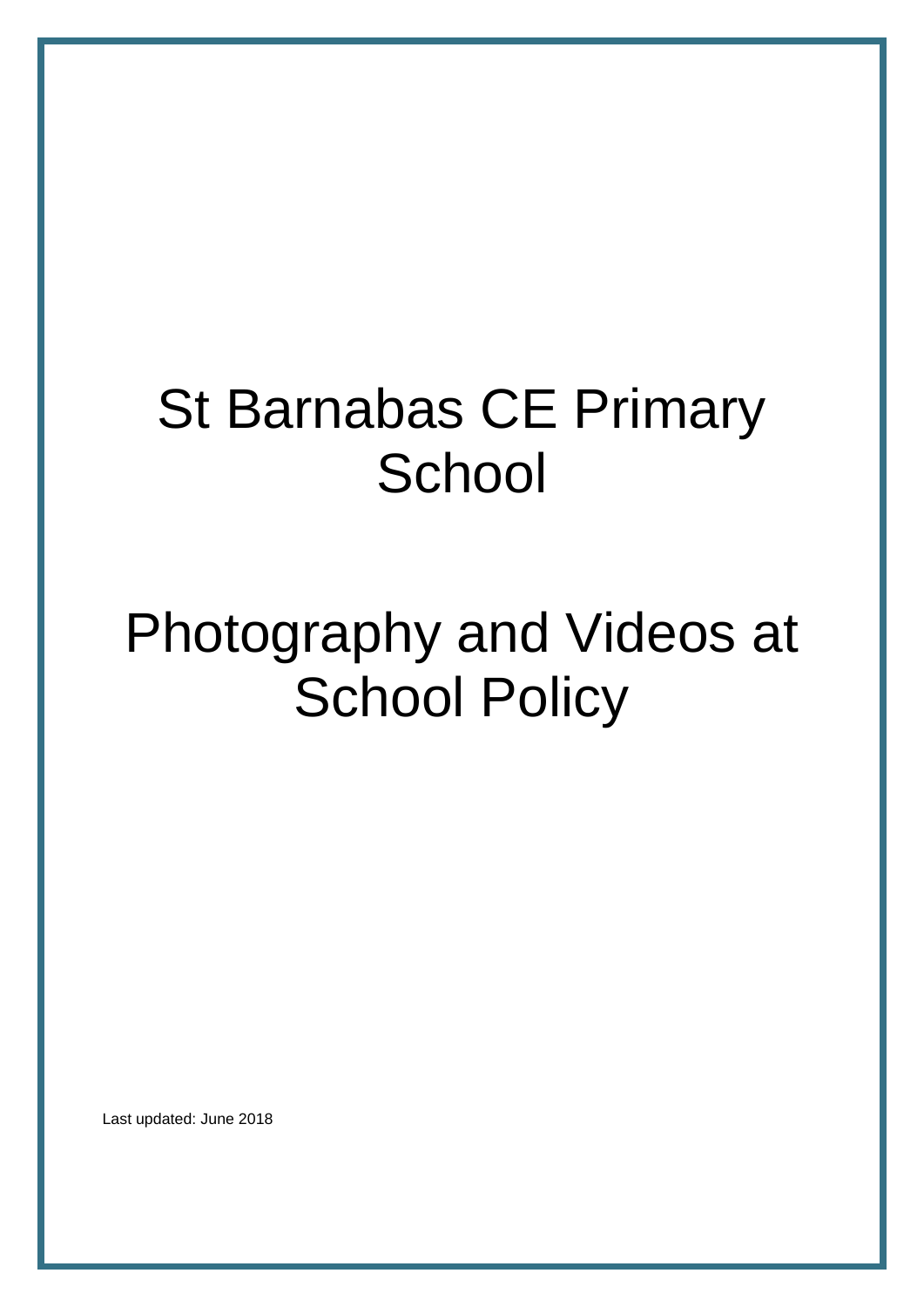# St Barnabas CE Primary **School**

# Photography and Videos at **School Policy**

Last updated: June 2018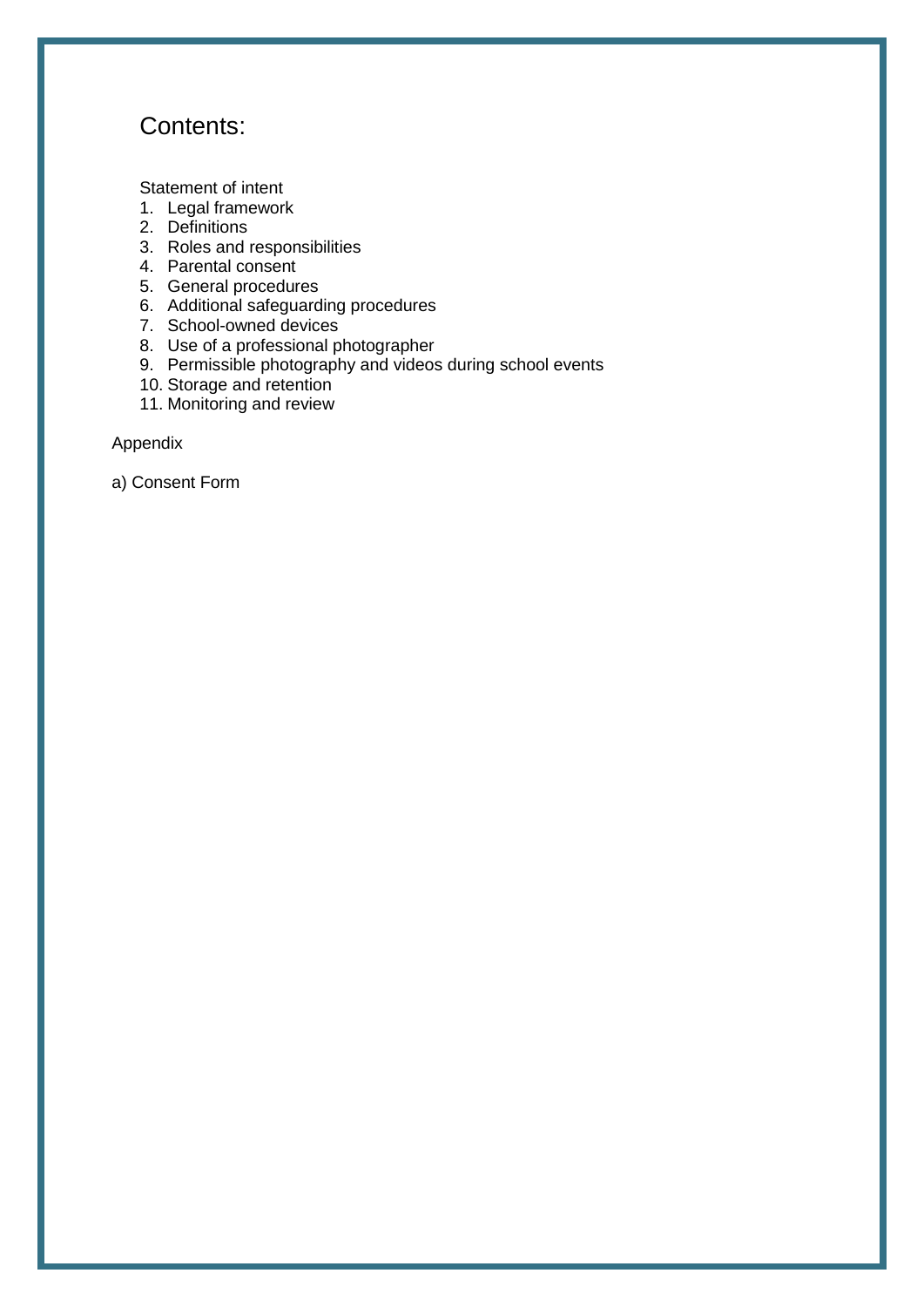## Contents:

[Statement of intent](#page-2-0)

- 1. [Legal framework](#page-3-0)
- 2. [Definitions](#page-3-1)
- 3. [Roles and responsibilities](#page-3-2)
- 4. [Parental consent](#page-4-0)
- 5. [General procedures](#page-5-0)
- 6. [Additional safeguarding procedures](#page-6-0)
- 7. [School-owned](#page-6-1) devices
- 8. [Use of a professional photographer](#page-7-0)
- 9. [Permissible photography and videos during school events](#page-7-1)
- 10. [Storage and retention](#page-8-0)
- 11. [Monitoring and review](#page-8-1)

Appendix

a) [Consent Form](#page-9-0)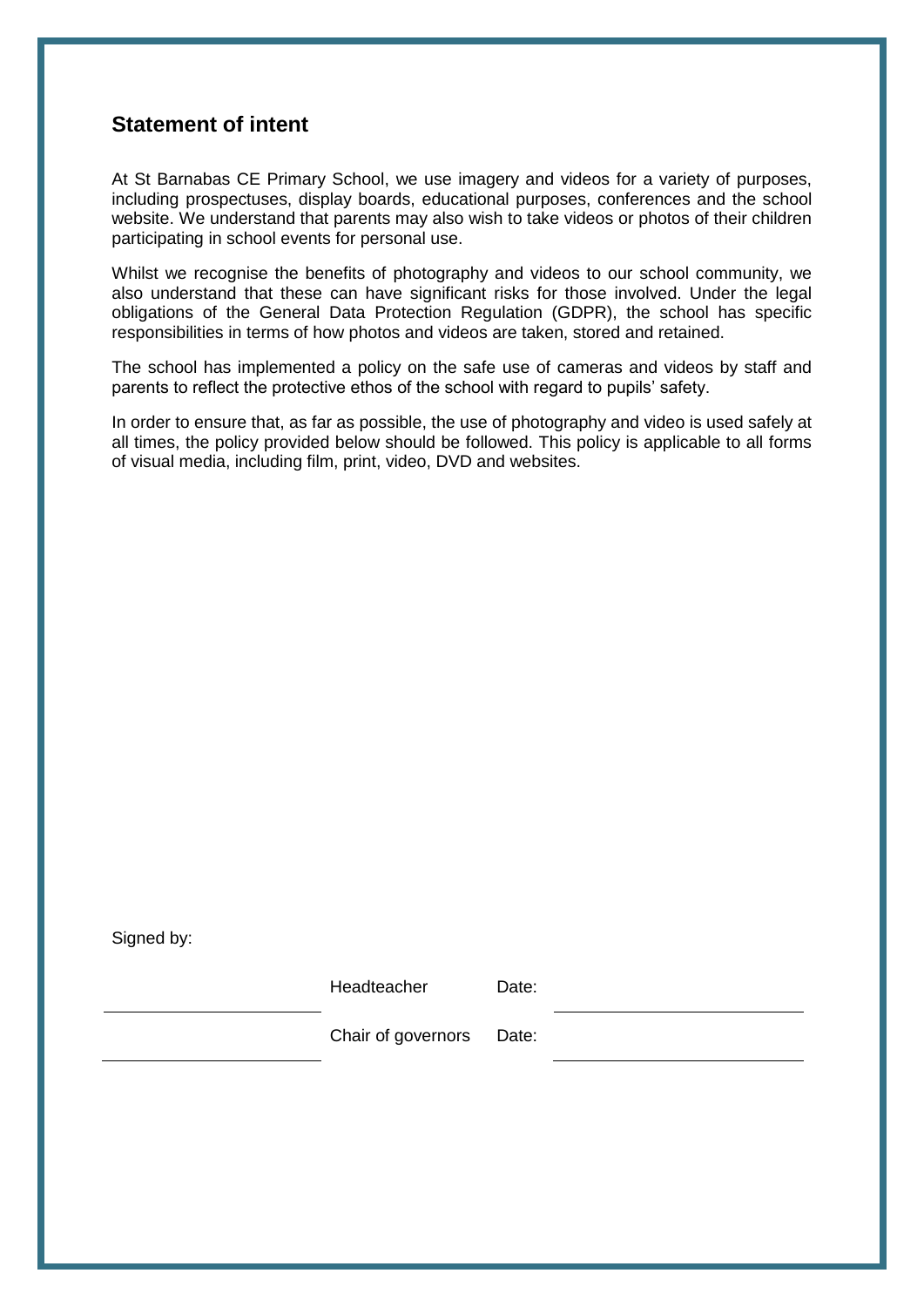## <span id="page-2-0"></span>**Statement of intent**

At St Barnabas CE Primary School, we use imagery and videos for a variety of purposes, including prospectuses, display boards, educational purposes, conferences and the school website. We understand that parents may also wish to take videos or photos of their children participating in school events for personal use.

Whilst we recognise the benefits of photography and videos to our school community, we also understand that these can have significant risks for those involved. Under the legal obligations of the General Data Protection Regulation (GDPR), the school has specific responsibilities in terms of how photos and videos are taken, stored and retained.

The school has implemented a policy on the safe use of cameras and videos by staff and parents to reflect the protective ethos of the school with regard to pupils" safety.

In order to ensure that, as far as possible, the use of photography and video is used safely at all times, the policy provided below should be followed. This policy is applicable to all forms of visual media, including film, print, video, DVD and websites.

Signed by:

Headteacher Date:

Chair of governors Date: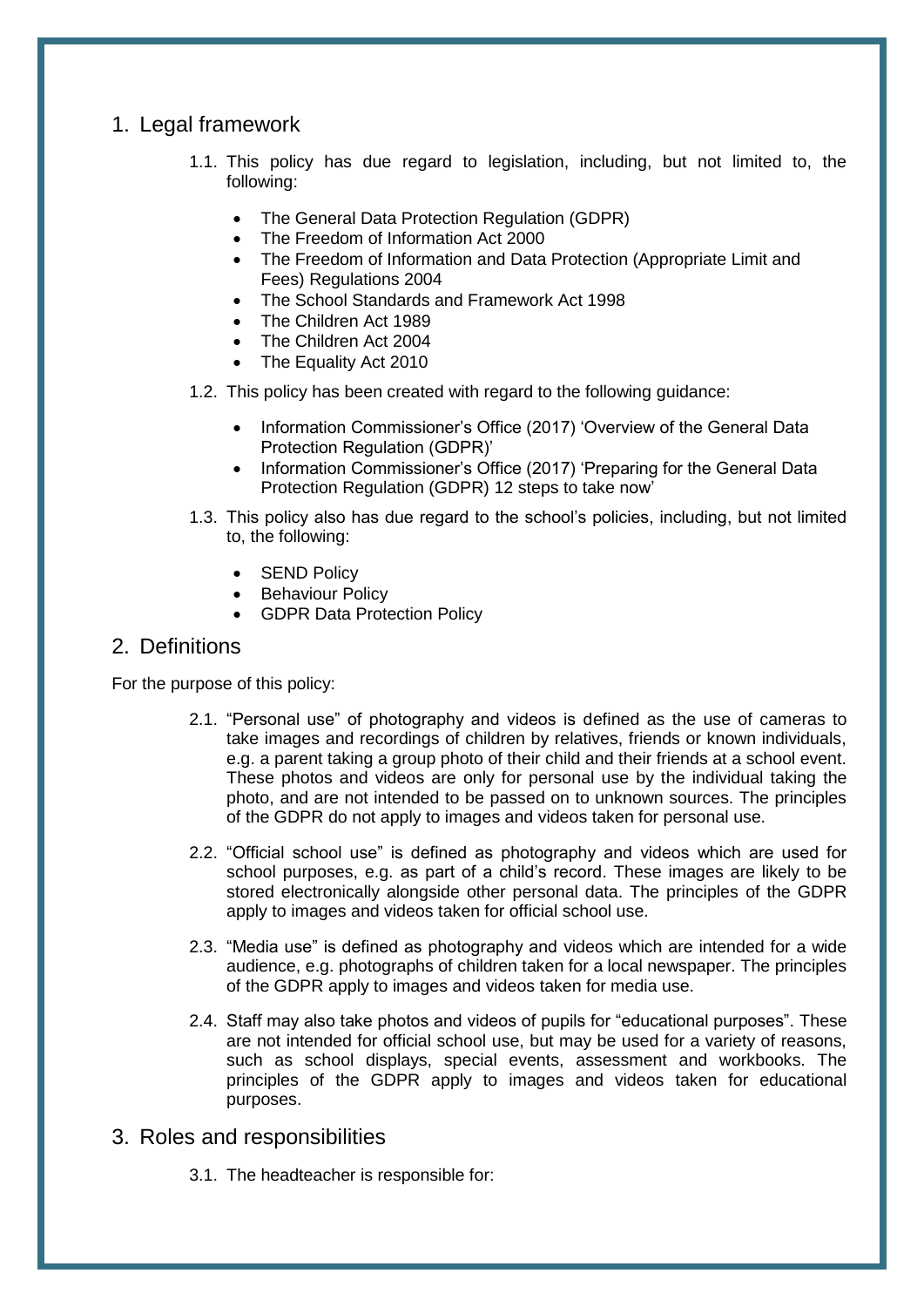## <span id="page-3-0"></span>1. Legal framework

- 1.1. This policy has due regard to legislation, including, but not limited to, the following:
	- The General Data Protection Regulation (GDPR)
	- The Freedom of Information Act 2000
	- The Freedom of Information and Data Protection (Appropriate Limit and Fees) Regulations 2004
	- The School Standards and Framework Act 1998
	- The Children Act 1989
	- The Children Act 2004
	- The Equality Act 2010
- 1.2. This policy has been created with regard to the following guidance:
	- Information Commissioner's Office (2017) 'Overview of the General Data Protection Regulation (GDPR)"
	- Information Commissioner's Office (2017) 'Preparing for the General Data Protection Regulation (GDPR) 12 steps to take now"
- 1.3. This policy also has due regard to the school"s policies, including, but not limited to, the following:
	- SEND Policy
	- Behaviour Policy
	- GDPR Data Protection Policy

## <span id="page-3-1"></span>2. Definitions

For the purpose of this policy:

- 2.1. "Personal use" of photography and videos is defined as the use of cameras to take images and recordings of children by relatives, friends or known individuals, e.g. a parent taking a group photo of their child and their friends at a school event. These photos and videos are only for personal use by the individual taking the photo, and are not intended to be passed on to unknown sources. The principles of the GDPR do not apply to images and videos taken for personal use.
- 2.2. "Official school use" is defined as photography and videos which are used for school purposes, e.g. as part of a child"s record. These images are likely to be stored electronically alongside other personal data. The principles of the GDPR apply to images and videos taken for official school use.
- 2.3. "Media use" is defined as photography and videos which are intended for a wide audience, e.g. photographs of children taken for a local newspaper. The principles of the GDPR apply to images and videos taken for media use.
- 2.4. Staff may also take photos and videos of pupils for "educational purposes". These are not intended for official school use, but may be used for a variety of reasons, such as school displays, special events, assessment and workbooks. The principles of the GDPR apply to images and videos taken for educational purposes.
- <span id="page-3-2"></span>3. Roles and responsibilities
	- 3.1. The headteacher is responsible for: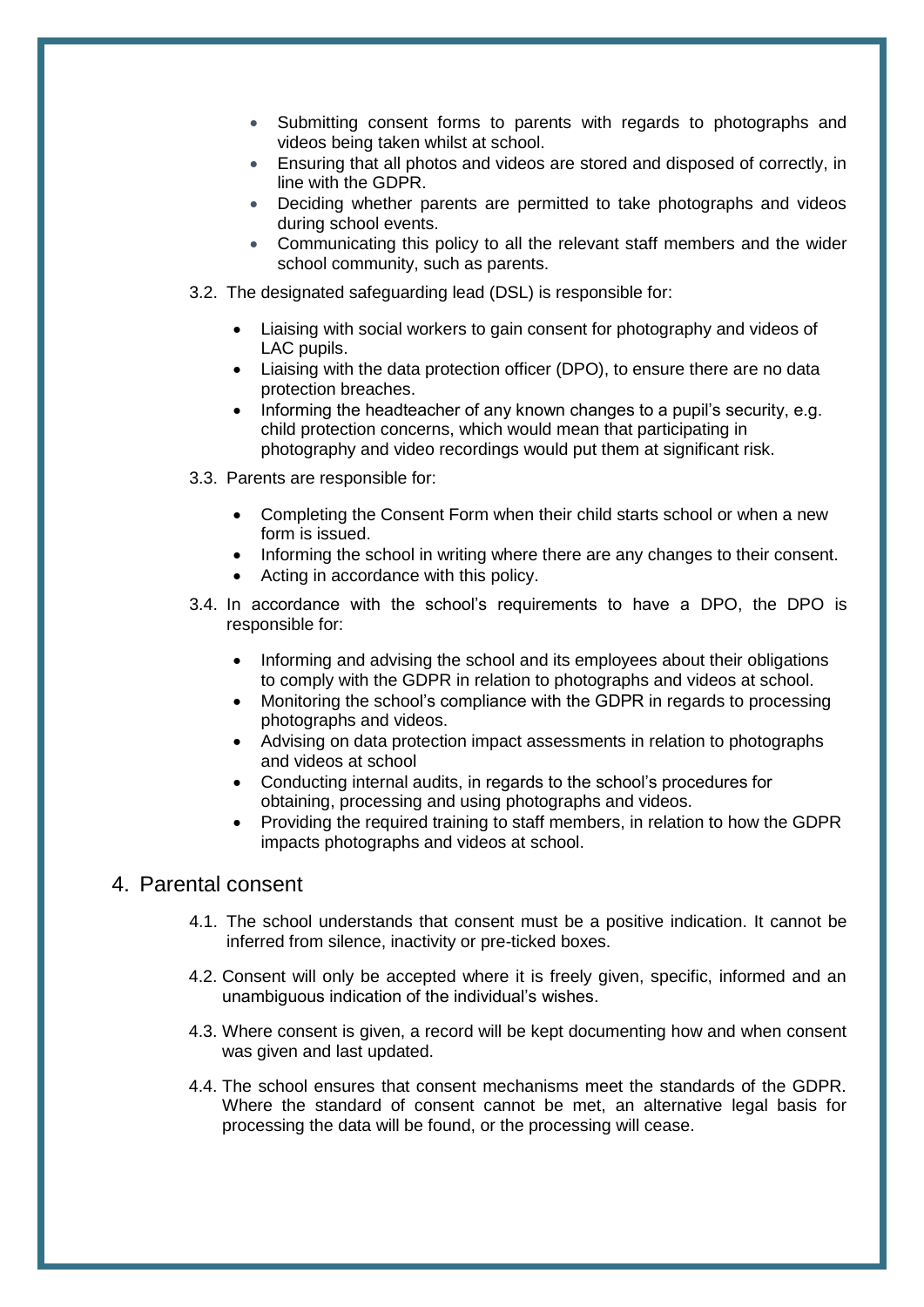- Submitting consent forms to parents with regards to photographs and videos being taken whilst at school.
- Ensuring that all photos and videos are stored and disposed of correctly, in line with the GDPR.
- Deciding whether parents are permitted to take photographs and videos during school events.
- Communicating this policy to all the relevant staff members and the wider school community, such as parents.
- 3.2. The designated safeguarding lead (DSL) is responsible for:
	- Liaising with social workers to gain consent for photography and videos of LAC pupils.
	- Liaising with the data protection officer (DPO), to ensure there are no data protection breaches.
	- Informing the headteacher of any known changes to a pupil"s security, e.g. child protection concerns, which would mean that participating in photography and video recordings would put them at significant risk.
- 3.3. Parents are responsible for:
	- Completing the [Consent Form](#page-9-0) when their child starts school or when a new form is issued.
	- Informing the school in writing where there are any changes to their consent.
	- Acting in accordance with this policy.
- 3.4. In accordance with the school"s requirements to have a DPO, the DPO is responsible for:
	- Informing and advising the school and its employees about their obligations to comply with the GDPR in relation to photographs and videos at school.
	- Monitoring the school"s compliance with the GDPR in regards to processing photographs and videos.
	- Advising on data protection impact assessments in relation to photographs and videos at school
	- Conducting internal audits, in regards to the school"s procedures for obtaining, processing and using photographs and videos.
	- Providing the required training to staff members, in relation to how the GDPR impacts photographs and videos at school.

## <span id="page-4-0"></span>4. Parental consent

- 4.1. The school understands that consent must be a positive indication. It cannot be inferred from silence, inactivity or pre-ticked boxes.
- 4.2. Consent will only be accepted where it is freely given, specific, informed and an unambiguous indication of the individual"s wishes.
- 4.3. Where consent is given, a record will be kept documenting how and when consent was given and last updated.
- 4.4. The school ensures that consent mechanisms meet the standards of the GDPR. Where the standard of consent cannot be met, an alternative legal basis for processing the data will be found, or the processing will cease.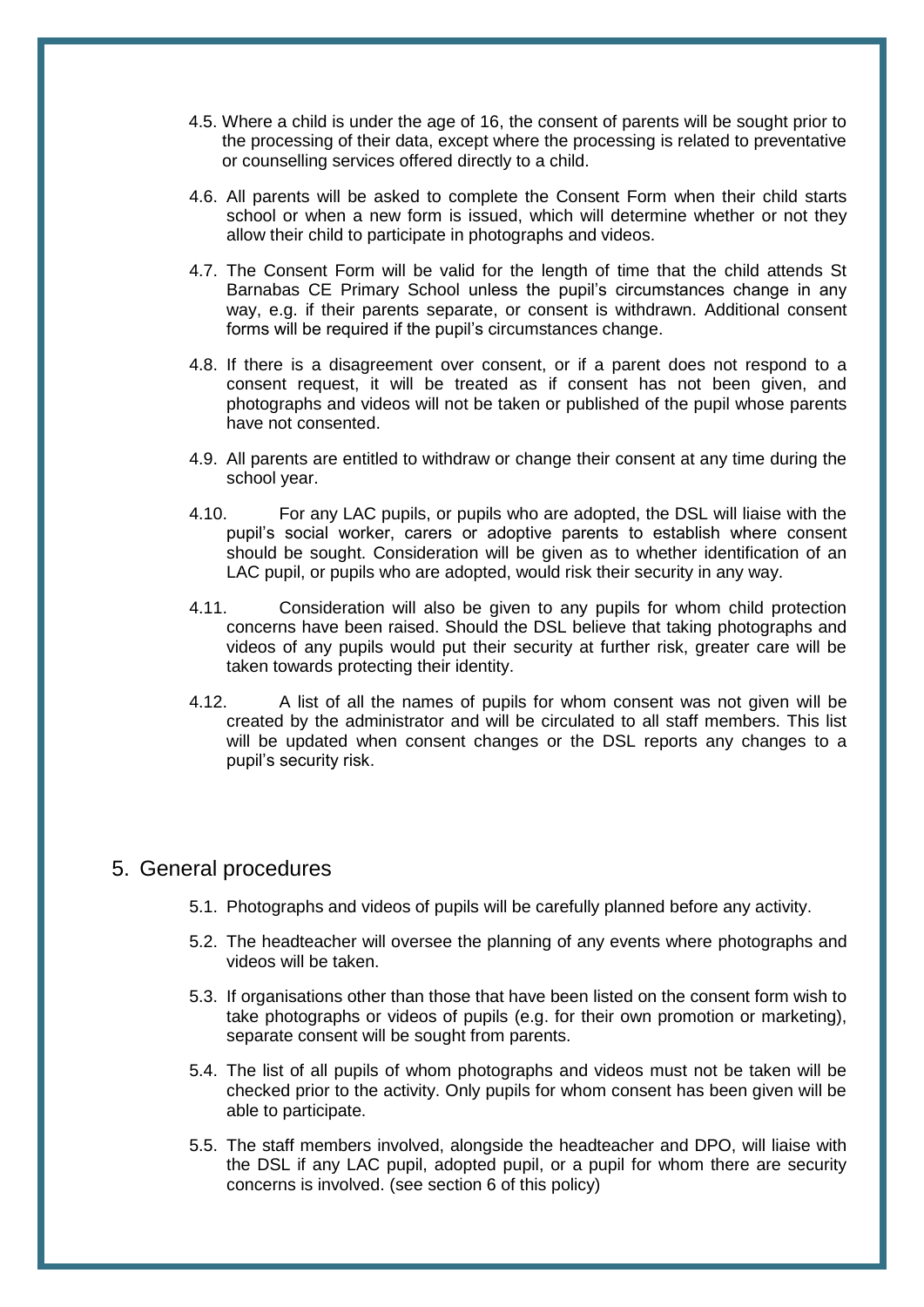- 4.5. Where a child is under the age of 16, the consent of parents will be sought prior to the processing of their data, except where the processing is related to preventative or counselling services offered directly to a child.
- 4.6. All parents will be asked to complete the Consent Form when their child starts school or when a new form is issued, which will determine whether or not they allow their child to participate in photographs and videos.
- 4.7. The Consent Form will be valid for the length of time that the child attends St Barnabas CE Primary School unless the pupil"s circumstances change in any way, e.g. if their parents separate, or consent is withdrawn. Additional consent forms will be required if the pupil"s circumstances change.
- 4.8. If there is a disagreement over consent, or if a parent does not respond to a consent request, it will be treated as if consent has not been given, and photographs and videos will not be taken or published of the pupil whose parents have not consented.
- 4.9. All parents are entitled to withdraw or change their consent at any time during the school year.
- 4.10. For any LAC pupils, or pupils who are adopted, the DSL will liaise with the pupil"s social worker, carers or adoptive parents to establish where consent should be sought. Consideration will be given as to whether identification of an LAC pupil, or pupils who are adopted, would risk their security in any way.
- 4.11. Consideration will also be given to any pupils for whom child protection concerns have been raised. Should the DSL believe that taking photographs and videos of any pupils would put their security at further risk, greater care will be taken towards protecting their identity.
- 4.12. A list of all the names of pupils for whom consent was not given will be created by the administrator and will be circulated to all staff members. This list will be updated when consent changes or the DSL reports any changes to a pupil"s security risk.

#### <span id="page-5-0"></span>5. General procedures

- 5.1. Photographs and videos of pupils will be carefully planned before any activity.
- 5.2. The headteacher will oversee the planning of any events where photographs and videos will be taken.
- 5.3. If organisations other than those that have been listed on the consent form wish to take photographs or videos of pupils (e.g. for their own promotion or marketing), separate consent will be sought from parents.
- 5.4. The list of all pupils of whom photographs and videos must not be taken will be checked prior to the activity. Only pupils for whom consent has been given will be able to participate.
- 5.5. The staff members involved, alongside the headteacher and DPO, will liaise with the DSL if any LAC pupil, adopted pupil, or a pupil for whom there are security concerns is involved. (see [section 6](#page-6-0) of this policy)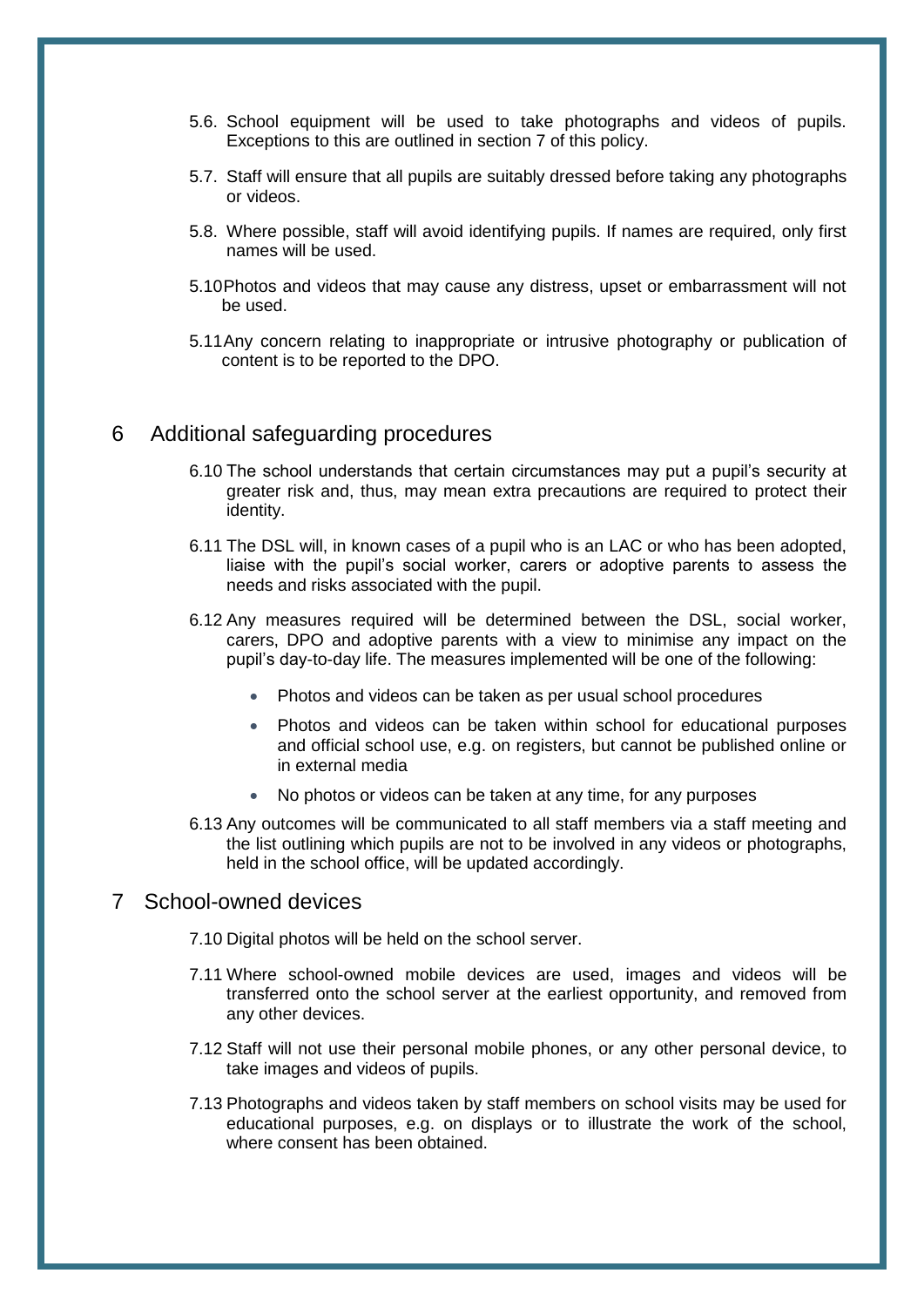- 5.6. School equipment will be used to take photographs and videos of pupils. Exceptions to this are outlined in [section 7](#page-6-1) of this policy.
- 5.7. Staff will ensure that all pupils are suitably dressed before taking any photographs or videos.
- 5.8. Where possible, staff will avoid identifying pupils. If names are required, only first names will be used.
- 5.10Photos and videos that may cause any distress, upset or embarrassment will not be used.
- 5.11Any concern relating to inappropriate or intrusive photography or publication of content is to be reported to the DPO.

#### <span id="page-6-0"></span>6 Additional safeguarding procedures

- 6.10 The school understands that certain circumstances may put a pupil"s security at greater risk and, thus, may mean extra precautions are required to protect their identity.
- 6.11 The DSL will, in known cases of a pupil who is an LAC or who has been adopted, liaise with the pupil"s social worker, carers or adoptive parents to assess the needs and risks associated with the pupil.
- 6.12 Any measures required will be determined between the DSL, social worker, carers, DPO and adoptive parents with a view to minimise any impact on the pupil"s day-to-day life. The measures implemented will be one of the following:
	- Photos and videos can be taken as per usual school procedures
	- Photos and videos can be taken within school for educational purposes and official school use, e.g. on registers, but cannot be published online or in external media
	- No photos or videos can be taken at any time, for any purposes
- 6.13 Any outcomes will be communicated to all staff members via a staff meeting and the list outlining which pupils are not to be involved in any videos or photographs, held in the school office, will be updated accordingly.

#### <span id="page-6-1"></span>7 School-owned devices

- 7.10 Digital photos will be held on the school server.
- 7.11 Where school-owned mobile devices are used, images and videos will be transferred onto the school server at the earliest opportunity, and removed from any other devices.
- 7.12 Staff will not use their personal mobile phones, or any other personal device, to take images and videos of pupils.
- 7.13 Photographs and videos taken by staff members on school visits may be used for educational purposes, e.g. on displays or to illustrate the work of the school, where consent has been obtained.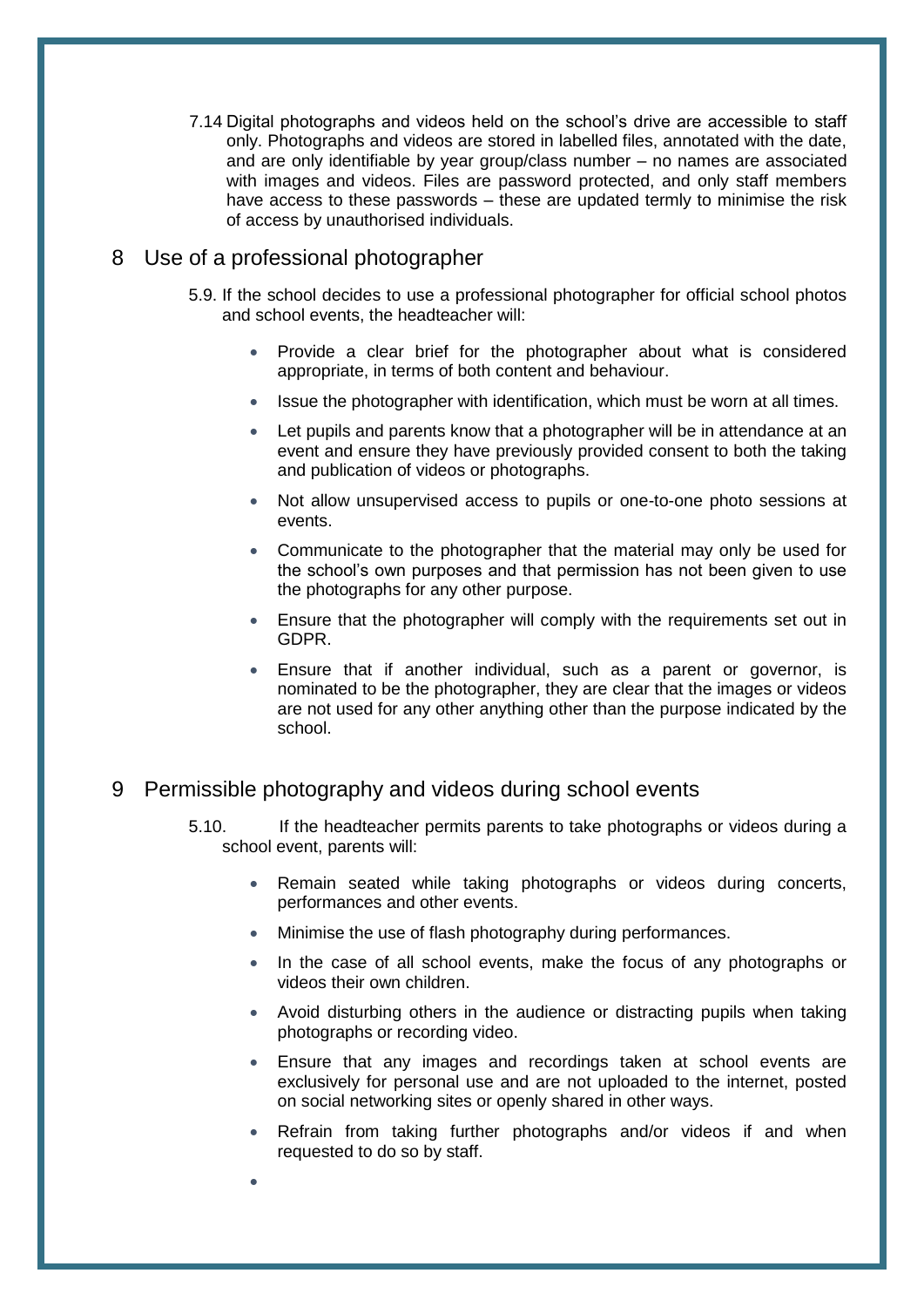7.14 Digital photographs and videos held on the school"s drive are accessible to staff only. Photographs and videos are stored in labelled files, annotated with the date, and are only identifiable by year group/class number – no names are associated with images and videos. Files are password protected, and only staff members have access to these passwords – these are updated termly to minimise the risk of access by unauthorised individuals.

## <span id="page-7-0"></span>8 Use of a professional photographer

 $\bullet$ 

- 5.9. If the school decides to use a professional photographer for official school photos and school events, the headteacher will:
	- Provide a clear brief for the photographer about what is considered appropriate, in terms of both content and behaviour.
	- Issue the photographer with identification, which must be worn at all times.
	- Let pupils and parents know that a photographer will be in attendance at an event and ensure they have previously provided consent to both the taking and publication of videos or photographs.
	- Not allow unsupervised access to pupils or one-to-one photo sessions at events.
	- Communicate to the photographer that the material may only be used for the school"s own purposes and that permission has not been given to use the photographs for any other purpose.
	- Ensure that the photographer will comply with the requirements set out in GDPR.
	- Ensure that if another individual, such as a parent or governor, is nominated to be the photographer, they are clear that the images or videos are not used for any other anything other than the purpose indicated by the school.

## <span id="page-7-1"></span>9 Permissible photography and videos during school events

- 5.10. If the headteacher permits parents to take photographs or videos during a school event, parents will:
	- Remain seated while taking photographs or videos during concerts, performances and other events.
	- Minimise the use of flash photography during performances.
	- In the case of all school events, make the focus of any photographs or videos their own children.
	- Avoid disturbing others in the audience or distracting pupils when taking photographs or recording video.
	- Ensure that any images and recordings taken at school events are exclusively for personal use and are not uploaded to the internet, posted on social networking sites or openly shared in other ways.
	- Refrain from taking further photographs and/or videos if and when requested to do so by staff.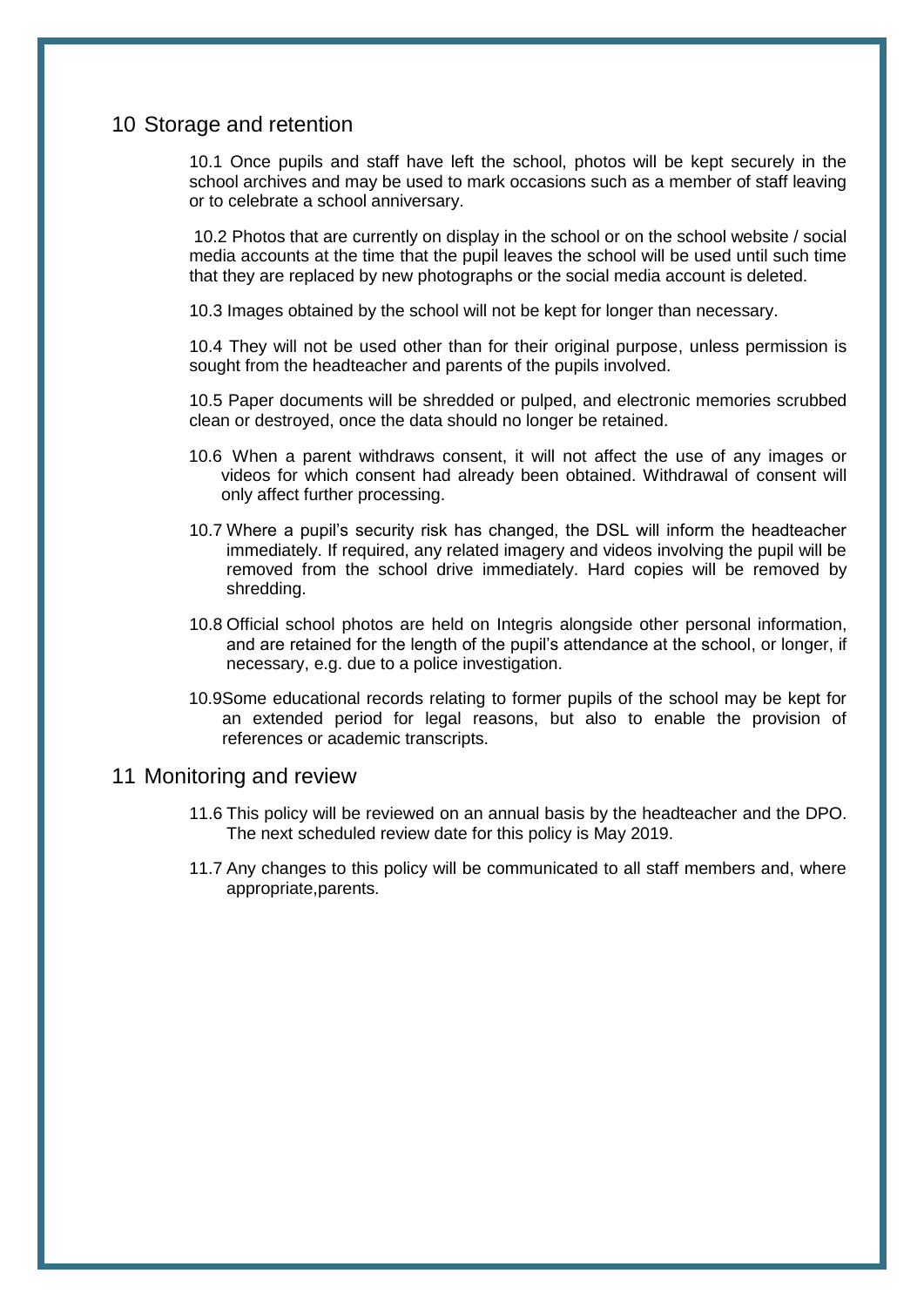#### <span id="page-8-0"></span>10 Storage and retention

10.1 Once pupils and staff have left the school, photos will be kept securely in the school archives and may be used to mark occasions such as a member of staff leaving or to celebrate a school anniversary.

10.2 Photos that are currently on display in the school or on the school website / social media accounts at the time that the pupil leaves the school will be used until such time that they are replaced by new photographs or the social media account is deleted.

10.3 Images obtained by the school will not be kept for longer than necessary.

10.4 They will not be used other than for their original purpose, unless permission is sought from the headteacher and parents of the pupils involved.

10.5 Paper documents will be shredded or pulped, and electronic memories scrubbed clean or destroyed, once the data should no longer be retained.

- 10.6 When a parent withdraws consent, it will not affect the use of any images or videos for which consent had already been obtained. Withdrawal of consent will only affect further processing.
- 10.7 Where a pupil"s security risk has changed, the DSL will inform the headteacher immediately. If required, any related imagery and videos involving the pupil will be removed from the school drive immediately. Hard copies will be removed by shredding.
- 10.8 Official school photos are held on Integris alongside other personal information, and are retained for the length of the pupil"s attendance at the school, or longer, if necessary, e.g. due to a police investigation.
- 10.9Some educational records relating to former pupils of the school may be kept for an extended period for legal reasons, but also to enable the provision of references or academic transcripts.

#### <span id="page-8-1"></span>11 Monitoring and review

- 11.6 This policy will be reviewed on an annual basis by the headteacher and the DPO. The next scheduled review date for this policy is May 2019.
- 11.7 Any changes to this policy will be communicated to all staff members and, where appropriate,parents.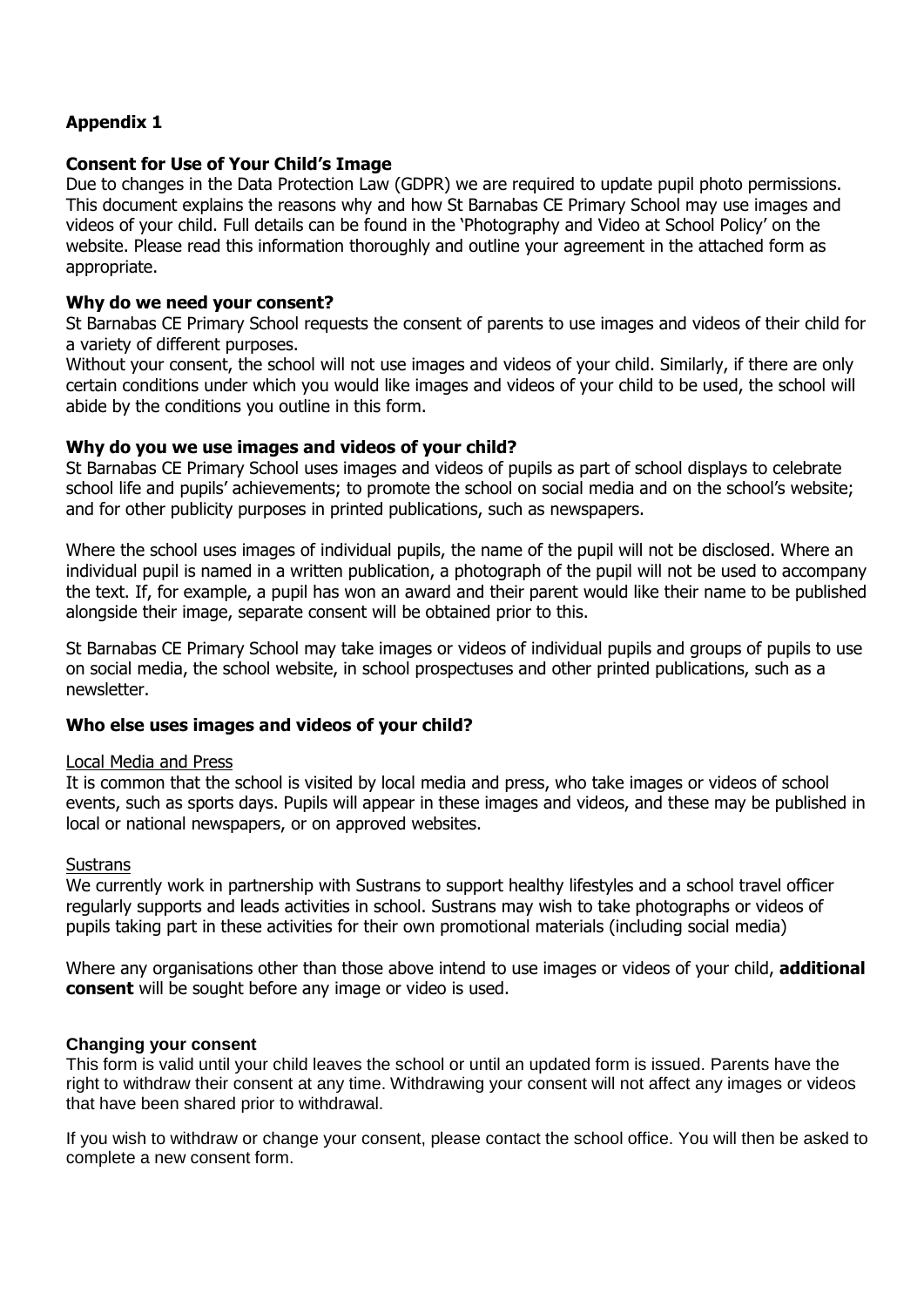## <span id="page-9-0"></span>**Appendix 1**

#### **Consent for Use of Your Child's Image**

Due to changes in the Data Protection Law (GDPR) we are required to update pupil photo permissions. This document explains the reasons why and how St Barnabas CE Primary School may use images and videos of your child. Full details can be found in the 'Photography and Video at School Policy' on the website. Please read this information thoroughly and outline your agreement in the attached form as appropriate.

#### **Why do we need your consent?**

St Barnabas CE Primary School requests the consent of parents to use images and videos of their child for a variety of different purposes.

Without your consent, the school will not use images and videos of your child. Similarly, if there are only certain conditions under which you would like images and videos of your child to be used, the school will abide by the conditions you outline in this form.

#### **Why do you we use images and videos of your child?**

St Barnabas CE Primary School uses images and videos of pupils as part of school displays to celebrate school life and pupils' achievements; to promote the school on social media and on the school's website; and for other publicity purposes in printed publications, such as newspapers.

Where the school uses images of individual pupils, the name of the pupil will not be disclosed. Where an individual pupil is named in a written publication, a photograph of the pupil will not be used to accompany the text. If, for example, a pupil has won an award and their parent would like their name to be published alongside their image, separate consent will be obtained prior to this.

St Barnabas CE Primary School may take images or videos of individual pupils and groups of pupils to use on social media, the school website, in school prospectuses and other printed publications, such as a newsletter.

#### **Who else uses images and videos of your child?**

#### Local Media and Press

It is common that the school is visited by local media and press, who take images or videos of school events, such as sports days. Pupils will appear in these images and videos, and these may be published in local or national newspapers, or on approved websites.

#### **Sustrans**

We currently work in partnership with Sustrans to support healthy lifestyles and a school travel officer regularly supports and leads activities in school. Sustrans may wish to take photographs or videos of pupils taking part in these activities for their own promotional materials (including social media)

Where any organisations other than those above intend to use images or videos of your child, **additional consent** will be sought before any image or video is used.

#### **Changing your consent**

This form is valid until your child leaves the school or until an updated form is issued. Parents have the right to withdraw their consent at any time. Withdrawing your consent will not affect any images or videos that have been shared prior to withdrawal.

If you wish to withdraw or change your consent, please contact the school office. You will then be asked to complete a new consent form.